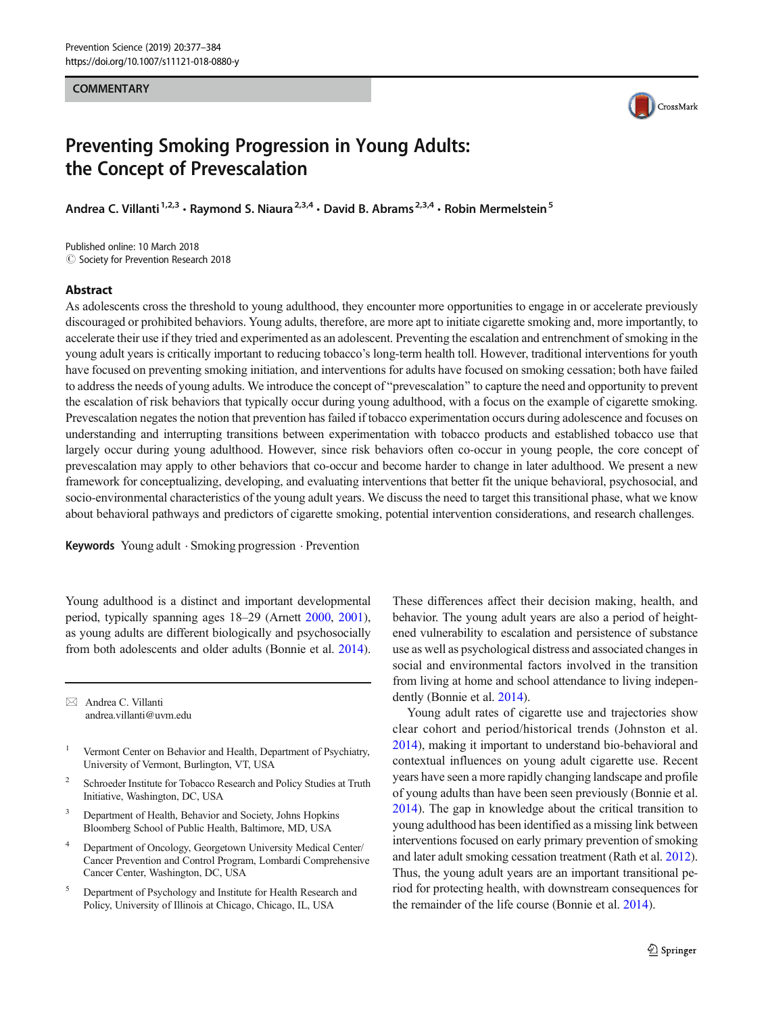#### **COMMENTARY**



# Preventing Smoking Progression in Young Adults: the Concept of Prevescalation

Andrea C. Villanti<sup>1,2,3</sup> · Raymond S. Niaura<sup>2,3,4</sup> · David B. Abrams<sup>2,3,4</sup> · Robin Mermelstein<sup>5</sup>

Published online: 10 March 2018  $\circled{c}$  Society for Prevention Research 2018

#### Abstract

As adolescents cross the threshold to young adulthood, they encounter more opportunities to engage in or accelerate previously discouraged or prohibited behaviors. Young adults, therefore, are more apt to initiate cigarette smoking and, more importantly, to accelerate their use if they tried and experimented as an adolescent. Preventing the escalation and entrenchment of smoking in the young adult years is critically important to reducing tobacco's long-term health toll. However, traditional interventions for youth have focused on preventing smoking initiation, and interventions for adults have focused on smoking cessation; both have failed to address the needs of young adults. We introduce the concept of "prevescalation" to capture the need and opportunity to prevent the escalation of risk behaviors that typically occur during young adulthood, with a focus on the example of cigarette smoking. Prevescalation negates the notion that prevention has failed if tobacco experimentation occurs during adolescence and focuses on understanding and interrupting transitions between experimentation with tobacco products and established tobacco use that largely occur during young adulthood. However, since risk behaviors often co-occur in young people, the core concept of prevescalation may apply to other behaviors that co-occur and become harder to change in later adulthood. We present a new framework for conceptualizing, developing, and evaluating interventions that better fit the unique behavioral, psychosocial, and socio-environmental characteristics of the young adult years. We discuss the need to target this transitional phase, what we know about behavioral pathways and predictors of cigarette smoking, potential intervention considerations, and research challenges.

Keywords Young adult . Smoking progression . Prevention

Young adulthood is a distinct and important developmental period, typically spanning ages 18–29 (Arnett [2000,](#page-5-0) [2001\)](#page-5-0), as young adults are different biologically and psychosocially from both adolescents and older adults (Bonnie et al. [2014\)](#page-5-0).

 $\boxtimes$  Andrea C. Villanti [andrea.villanti@uvm.edu](mailto:andrea.villanti@uvm.edu)

- <sup>1</sup> Vermont Center on Behavior and Health, Department of Psychiatry, University of Vermont, Burlington, VT, USA
- <sup>2</sup> Schroeder Institute for Tobacco Research and Policy Studies at Truth Initiative, Washington, DC, USA
- <sup>3</sup> Department of Health, Behavior and Society, Johns Hopkins Bloomberg School of Public Health, Baltimore, MD, USA
- Department of Oncology, Georgetown University Medical Center/ Cancer Prevention and Control Program, Lombardi Comprehensive Cancer Center, Washington, DC, USA
- <sup>5</sup> Department of Psychology and Institute for Health Research and Policy, University of Illinois at Chicago, Chicago, IL, USA

These differences affect their decision making, health, and behavior. The young adult years are also a period of heightened vulnerability to escalation and persistence of substance use as well as psychological distress and associated changes in social and environmental factors involved in the transition from living at home and school attendance to living independently (Bonnie et al. [2014\)](#page-5-0).

Young adult rates of cigarette use and trajectories show clear cohort and period/historical trends (Johnston et al. [2014\)](#page-6-0), making it important to understand bio-behavioral and contextual influences on young adult cigarette use. Recent years have seen a more rapidly changing landscape and profile of young adults than have been seen previously (Bonnie et al. [2014\)](#page-5-0). The gap in knowledge about the critical transition to young adulthood has been identified as a missing link between interventions focused on early primary prevention of smoking and later adult smoking cessation treatment (Rath et al. [2012\)](#page-7-0). Thus, the young adult years are an important transitional period for protecting health, with downstream consequences for the remainder of the life course (Bonnie et al. [2014\)](#page-5-0).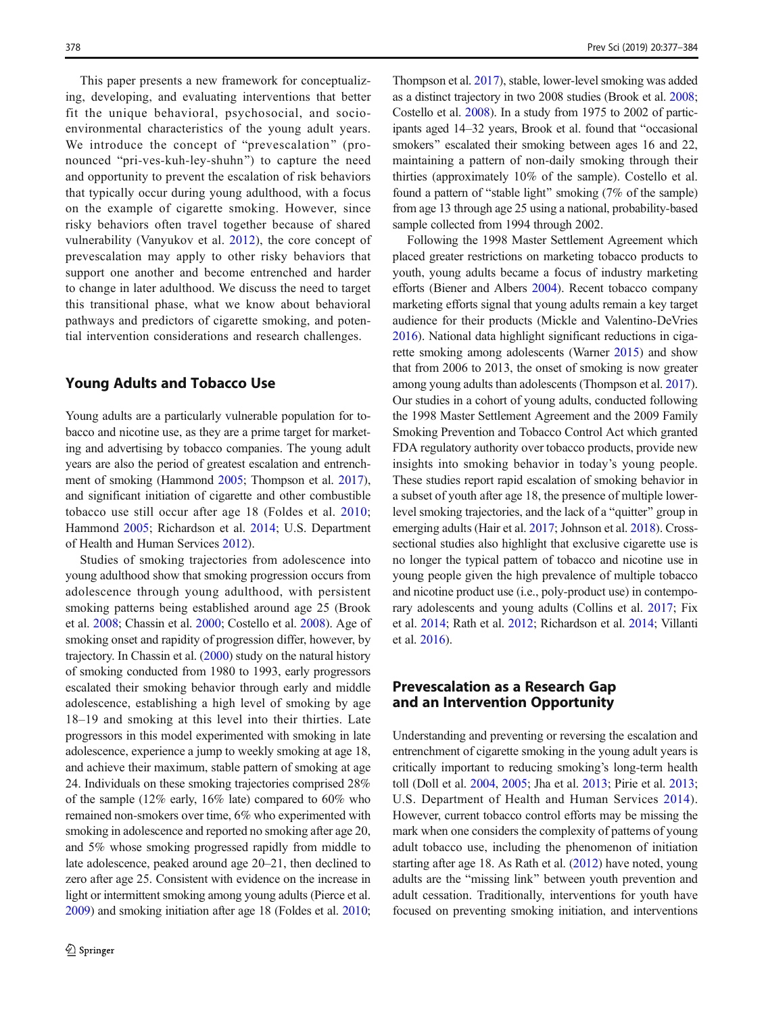This paper presents a new framework for conceptualizing, developing, and evaluating interventions that better fit the unique behavioral, psychosocial, and socioenvironmental characteristics of the young adult years. We introduce the concept of "prevescalation" (pronounced "pri-ves-kuh-ley-shuhn") to capture the need and opportunity to prevent the escalation of risk behaviors that typically occur during young adulthood, with a focus on the example of cigarette smoking. However, since risky behaviors often travel together because of shared vulnerability (Vanyukov et al. [2012](#page-7-0)), the core concept of prevescalation may apply to other risky behaviors that support one another and become entrenched and harder to change in later adulthood. We discuss the need to target this transitional phase, what we know about behavioral pathways and predictors of cigarette smoking, and potential intervention considerations and research challenges.

## Young Adults and Tobacco Use

Young adults are a particularly vulnerable population for tobacco and nicotine use, as they are a prime target for marketing and advertising by tobacco companies. The young adult years are also the period of greatest escalation and entrenchment of smoking (Hammond [2005;](#page-6-0) Thompson et al. [2017\)](#page-7-0), and significant initiation of cigarette and other combustible tobacco use still occur after age 18 (Foldes et al. [2010](#page-6-0); Hammond [2005](#page-6-0); Richardson et al. [2014](#page-7-0); U.S. Department of Health and Human Services [2012](#page-7-0)).

Studies of smoking trajectories from adolescence into young adulthood show that smoking progression occurs from adolescence through young adulthood, with persistent smoking patterns being established around age 25 (Brook et al. [2008](#page-5-0); Chassin et al. [2000](#page-5-0); Costello et al. [2008\)](#page-6-0). Age of smoking onset and rapidity of progression differ, however, by trajectory. In Chassin et al. ([2000](#page-5-0)) study on the natural history of smoking conducted from 1980 to 1993, early progressors escalated their smoking behavior through early and middle adolescence, establishing a high level of smoking by age 18–19 and smoking at this level into their thirties. Late progressors in this model experimented with smoking in late adolescence, experience a jump to weekly smoking at age 18, and achieve their maximum, stable pattern of smoking at age 24. Individuals on these smoking trajectories comprised 28% of the sample (12% early, 16% late) compared to 60% who remained non-smokers over time, 6% who experimented with smoking in adolescence and reported no smoking after age 20, and 5% whose smoking progressed rapidly from middle to late adolescence, peaked around age 20–21, then declined to zero after age 25. Consistent with evidence on the increase in light or intermittent smoking among young adults (Pierce et al. [2009](#page-7-0)) and smoking initiation after age 18 (Foldes et al. [2010](#page-6-0);

Thompson et al. [2017](#page-7-0)), stable, lower-level smoking was added as a distinct trajectory in two 2008 studies (Brook et al. [2008;](#page-5-0) Costello et al. [2008](#page-6-0)). In a study from 1975 to 2002 of participants aged 14–32 years, Brook et al. found that "occasional smokers" escalated their smoking between ages 16 and 22. maintaining a pattern of non-daily smoking through their thirties (approximately 10% of the sample). Costello et al. found a pattern of "stable light" smoking  $(7\%$  of the sample) from age 13 through age 25 using a national, probability-based sample collected from 1994 through 2002.

Following the 1998 Master Settlement Agreement which placed greater restrictions on marketing tobacco products to youth, young adults became a focus of industry marketing efforts (Biener and Albers [2004](#page-5-0)). Recent tobacco company marketing efforts signal that young adults remain a key target audience for their products (Mickle and Valentino-DeVries [2016\)](#page-6-0). National data highlight significant reductions in cigarette smoking among adolescents (Warner [2015\)](#page-7-0) and show that from 2006 to 2013, the onset of smoking is now greater among young adults than adolescents (Thompson et al. [2017\)](#page-7-0). Our studies in a cohort of young adults, conducted following the 1998 Master Settlement Agreement and the 2009 Family Smoking Prevention and Tobacco Control Act which granted FDA regulatory authority over tobacco products, provide new insights into smoking behavior in today's young people. These studies report rapid escalation of smoking behavior in a subset of youth after age 18, the presence of multiple lowerlevel smoking trajectories, and the lack of a "quitter" group in emerging adults (Hair et al. [2017](#page-6-0); Johnson et al. [2018](#page-6-0)). Crosssectional studies also highlight that exclusive cigarette use is no longer the typical pattern of tobacco and nicotine use in young people given the high prevalence of multiple tobacco and nicotine product use (i.e., poly-product use) in contemporary adolescents and young adults (Collins et al. [2017;](#page-6-0) Fix et al. [2014;](#page-6-0) Rath et al. [2012;](#page-7-0) Richardson et al. [2014;](#page-7-0) Villanti et al. [2016](#page-7-0)).

# Prevescalation as a Research Gap and an Intervention Opportunity

Understanding and preventing or reversing the escalation and entrenchment of cigarette smoking in the young adult years is critically important to reducing smoking's long-term health toll (Doll et al. [2004](#page-6-0), [2005](#page-6-0); Jha et al. [2013;](#page-6-0) Pirie et al. [2013;](#page-7-0) U.S. Department of Health and Human Services [2014](#page-7-0)). However, current tobacco control efforts may be missing the mark when one considers the complexity of patterns of young adult tobacco use, including the phenomenon of initiation starting after age 18. As Rath et al. [\(2012\)](#page-7-0) have noted, young adults are the "missing link" between youth prevention and adult cessation. Traditionally, interventions for youth have focused on preventing smoking initiation, and interventions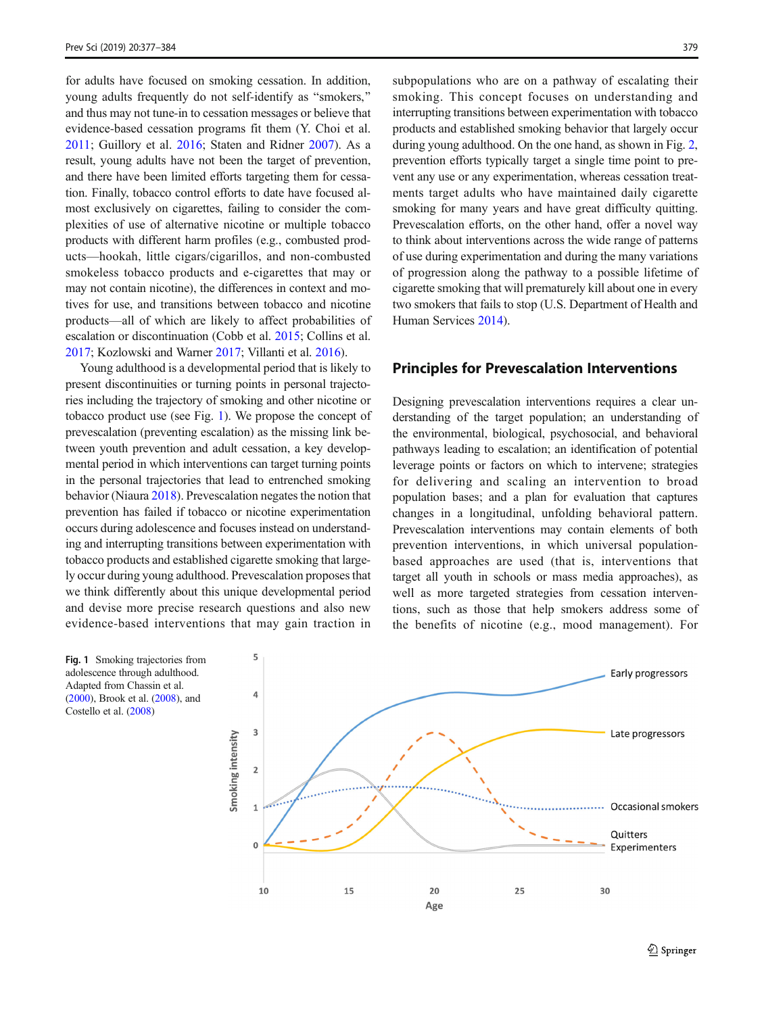for adults have focused on smoking cessation. In addition, young adults frequently do not self-identify as "smokers," and thus may not tune-in to cessation messages or believe that evidence-based cessation programs fit them (Y. Choi et al. [2011;](#page-5-0) Guillory et al. [2016;](#page-6-0) Staten and Ridner [2007\)](#page-7-0). As a result, young adults have not been the target of prevention, and there have been limited efforts targeting them for cessation. Finally, tobacco control efforts to date have focused almost exclusively on cigarettes, failing to consider the complexities of use of alternative nicotine or multiple tobacco products with different harm profiles (e.g., combusted products—hookah, little cigars/cigarillos, and non-combusted smokeless tobacco products and e-cigarettes that may or may not contain nicotine), the differences in context and motives for use, and transitions between tobacco and nicotine products—all of which are likely to affect probabilities of escalation or discontinuation (Cobb et al. [2015;](#page-5-0) Collins et al. [2017;](#page-6-0) Kozlowski and Warner [2017;](#page-6-0) Villanti et al. [2016\)](#page-7-0).

Young adulthood is a developmental period that is likely to present discontinuities or turning points in personal trajectories including the trajectory of smoking and other nicotine or tobacco product use (see Fig. 1). We propose the concept of prevescalation (preventing escalation) as the missing link between youth prevention and adult cessation, a key developmental period in which interventions can target turning points in the personal trajectories that lead to entrenched smoking behavior (Niaura [2018\)](#page-6-0). Prevescalation negates the notion that prevention has failed if tobacco or nicotine experimentation occurs during adolescence and focuses instead on understanding and interrupting transitions between experimentation with tobacco products and established cigarette smoking that largely occur during young adulthood. Prevescalation proposes that we think differently about this unique developmental period and devise more precise research questions and also new evidence-based interventions that may gain traction in



subpopulations who are on a pathway of escalating their smoking. This concept focuses on understanding and interrupting transitions between experimentation with tobacco products and established smoking behavior that largely occur during young adulthood. On the one hand, as shown in Fig. [2,](#page-3-0) prevention efforts typically target a single time point to prevent any use or any experimentation, whereas cessation treatments target adults who have maintained daily cigarette smoking for many years and have great difficulty quitting. Prevescalation efforts, on the other hand, offer a novel way to think about interventions across the wide range of patterns of use during experimentation and during the many variations of progression along the pathway to a possible lifetime of cigarette smoking that will prematurely kill about one in every two smokers that fails to stop (U.S. Department of Health and Human Services [2014](#page-7-0)).

## Principles for Prevescalation Interventions

Designing prevescalation interventions requires a clear understanding of the target population; an understanding of the environmental, biological, psychosocial, and behavioral pathways leading to escalation; an identification of potential leverage points or factors on which to intervene; strategies for delivering and scaling an intervention to broad population bases; and a plan for evaluation that captures changes in a longitudinal, unfolding behavioral pattern. Prevescalation interventions may contain elements of both prevention interventions, in which universal populationbased approaches are used (that is, interventions that target all youth in schools or mass media approaches), as well as more targeted strategies from cessation interventions, such as those that help smokers address some of the benefits of nicotine (e.g., mood management). For

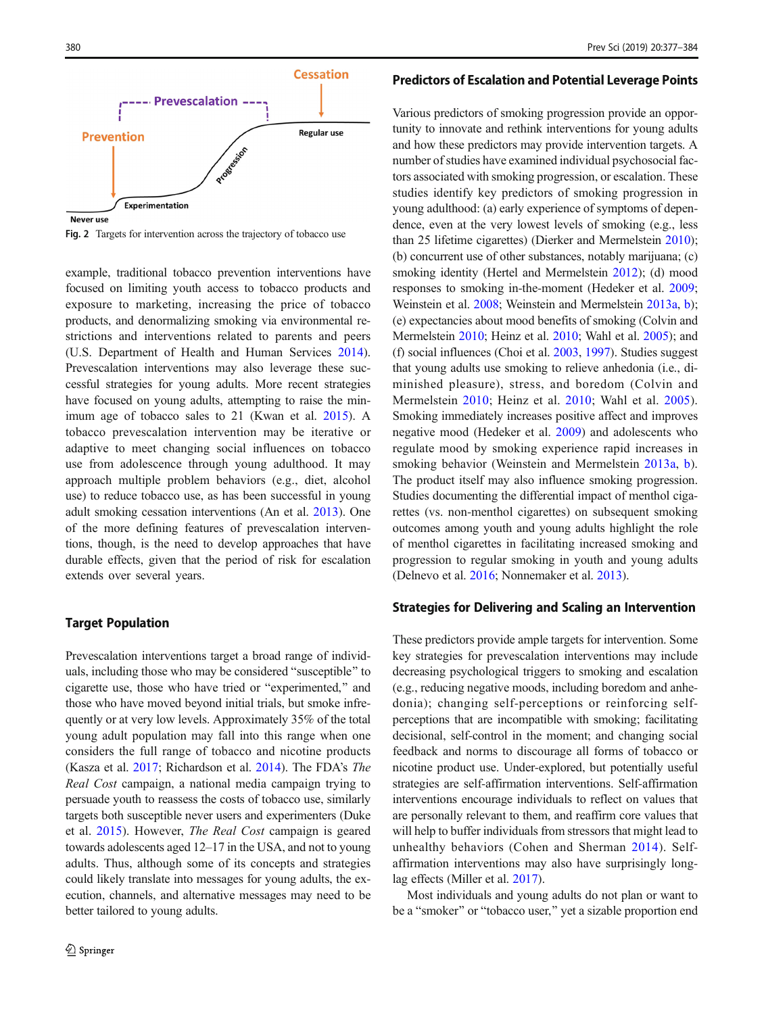<span id="page-3-0"></span>

Never use

Fig. 2 Targets for intervention across the trajectory of tobacco use

example, traditional tobacco prevention interventions have focused on limiting youth access to tobacco products and exposure to marketing, increasing the price of tobacco products, and denormalizing smoking via environmental restrictions and interventions related to parents and peers (U.S. Department of Health and Human Services [2014](#page-7-0)). Prevescalation interventions may also leverage these successful strategies for young adults. More recent strategies have focused on young adults, attempting to raise the minimum age of tobacco sales to 21 (Kwan et al. [2015\)](#page-6-0). A tobacco prevescalation intervention may be iterative or adaptive to meet changing social influences on tobacco use from adolescence through young adulthood. It may approach multiple problem behaviors (e.g., diet, alcohol use) to reduce tobacco use, as has been successful in young adult smoking cessation interventions (An et al. [2013\)](#page-5-0). One of the more defining features of prevescalation interventions, though, is the need to develop approaches that have durable effects, given that the period of risk for escalation extends over several years.

#### Target Population

Prevescalation interventions target a broad range of individuals, including those who may be considered "susceptible" to cigarette use, those who have tried or "experimented," and those who have moved beyond initial trials, but smoke infrequently or at very low levels. Approximately 35% of the total young adult population may fall into this range when one considers the full range of tobacco and nicotine products (Kasza et al. [2017](#page-6-0); Richardson et al. [2014](#page-7-0)). The FDA's The Real Cost campaign, a national media campaign trying to persuade youth to reassess the costs of tobacco use, similarly targets both susceptible never users and experimenters (Duke et al. [2015](#page-6-0)). However, The Real Cost campaign is geared towards adolescents aged 12–17 in the USA, and not to young adults. Thus, although some of its concepts and strategies could likely translate into messages for young adults, the execution, channels, and alternative messages may need to be better tailored to young adults.

#### Predictors of Escalation and Potential Leverage Points

Various predictors of smoking progression provide an opportunity to innovate and rethink interventions for young adults and how these predictors may provide intervention targets. A number of studies have examined individual psychosocial factors associated with smoking progression, or escalation. These studies identify key predictors of smoking progression in young adulthood: (a) early experience of symptoms of dependence, even at the very lowest levels of smoking (e.g., less than 25 lifetime cigarettes) (Dierker and Mermelstein [2010](#page-6-0)); (b) concurrent use of other substances, notably marijuana; (c) smoking identity (Hertel and Mermelstein [2012](#page-6-0)); (d) mood responses to smoking in-the-moment (Hedeker et al. [2009;](#page-6-0) Weinstein et al. [2008;](#page-7-0) Weinstein and Mermelstein [2013a](#page-7-0), [b](#page-7-0)); (e) expectancies about mood benefits of smoking (Colvin and Mermelstein [2010](#page-6-0); Heinz et al. [2010;](#page-6-0) Wahl et al. [2005](#page-7-0)); and (f) social influences (Choi et al. [2003](#page-5-0), [1997\)](#page-5-0). Studies suggest that young adults use smoking to relieve anhedonia (i.e., diminished pleasure), stress, and boredom (Colvin and Mermelstein [2010](#page-6-0); Heinz et al. [2010](#page-6-0); Wahl et al. [2005](#page-7-0)). Smoking immediately increases positive affect and improves negative mood (Hedeker et al. [2009](#page-6-0)) and adolescents who regulate mood by smoking experience rapid increases in smoking behavior (Weinstein and Mermelstein [2013a](#page-7-0), [b](#page-7-0)). The product itself may also influence smoking progression. Studies documenting the differential impact of menthol cigarettes (vs. non-menthol cigarettes) on subsequent smoking outcomes among youth and young adults highlight the role of menthol cigarettes in facilitating increased smoking and progression to regular smoking in youth and young adults (Delnevo et al. [2016;](#page-6-0) Nonnemaker et al. [2013](#page-6-0)).

#### Strategies for Delivering and Scaling an Intervention

These predictors provide ample targets for intervention. Some key strategies for prevescalation interventions may include decreasing psychological triggers to smoking and escalation (e.g., reducing negative moods, including boredom and anhedonia); changing self-perceptions or reinforcing selfperceptions that are incompatible with smoking; facilitating decisional, self-control in the moment; and changing social feedback and norms to discourage all forms of tobacco or nicotine product use. Under-explored, but potentially useful strategies are self-affirmation interventions. Self-affirmation interventions encourage individuals to reflect on values that are personally relevant to them, and reaffirm core values that will help to buffer individuals from stressors that might lead to unhealthy behaviors (Cohen and Sherman [2014\)](#page-5-0). Selfaffirmation interventions may also have surprisingly longlag effects (Miller et al. [2017](#page-6-0)).

Most individuals and young adults do not plan or want to be a "smoker" or "tobacco user," yet a sizable proportion end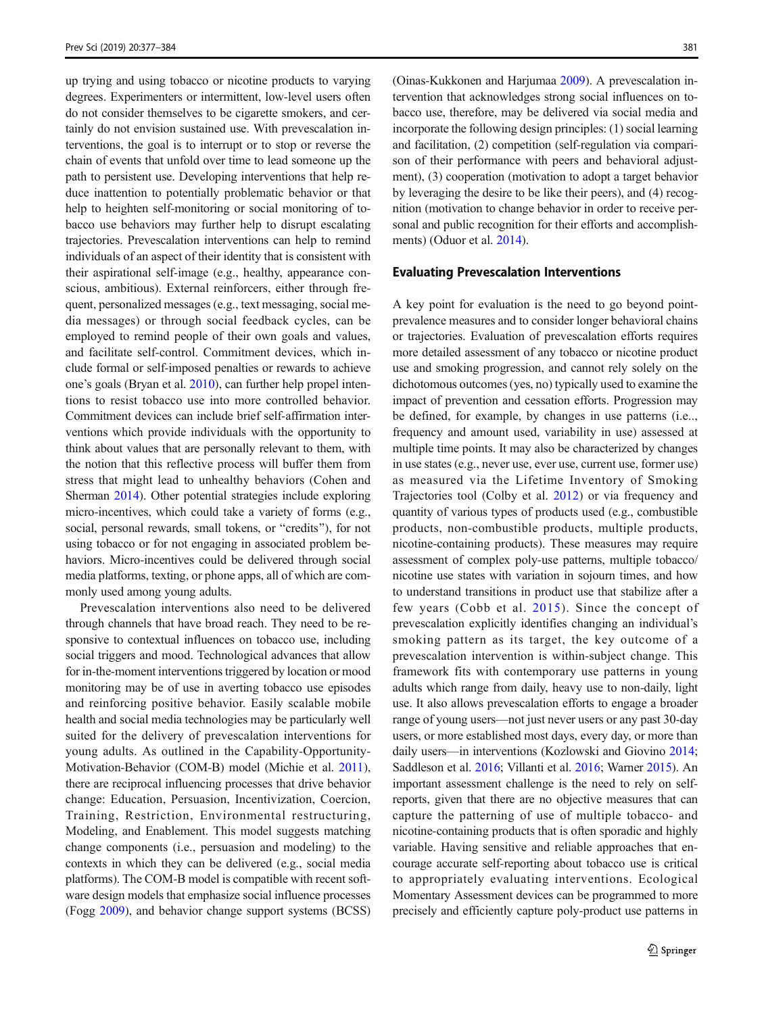up trying and using tobacco or nicotine products to varying degrees. Experimenters or intermittent, low-level users often do not consider themselves to be cigarette smokers, and certainly do not envision sustained use. With prevescalation interventions, the goal is to interrupt or to stop or reverse the chain of events that unfold over time to lead someone up the path to persistent use. Developing interventions that help reduce inattention to potentially problematic behavior or that help to heighten self-monitoring or social monitoring of tobacco use behaviors may further help to disrupt escalating trajectories. Prevescalation interventions can help to remind individuals of an aspect of their identity that is consistent with their aspirational self-image (e.g., healthy, appearance conscious, ambitious). External reinforcers, either through frequent, personalized messages (e.g., text messaging, social media messages) or through social feedback cycles, can be employed to remind people of their own goals and values, and facilitate self-control. Commitment devices, which include formal or self-imposed penalties or rewards to achieve one's goals (Bryan et al. [2010](#page-5-0)), can further help propel intentions to resist tobacco use into more controlled behavior. Commitment devices can include brief self-affirmation interventions which provide individuals with the opportunity to think about values that are personally relevant to them, with the notion that this reflective process will buffer them from stress that might lead to unhealthy behaviors (Cohen and Sherman [2014\)](#page-5-0). Other potential strategies include exploring micro-incentives, which could take a variety of forms (e.g., social, personal rewards, small tokens, or "credits"), for not using tobacco or for not engaging in associated problem behaviors. Micro-incentives could be delivered through social media platforms, texting, or phone apps, all of which are commonly used among young adults.

Prevescalation interventions also need to be delivered through channels that have broad reach. They need to be responsive to contextual influences on tobacco use, including social triggers and mood. Technological advances that allow for in-the-moment interventions triggered by location or mood monitoring may be of use in averting tobacco use episodes and reinforcing positive behavior. Easily scalable mobile health and social media technologies may be particularly well suited for the delivery of prevescalation interventions for young adults. As outlined in the Capability-Opportunity-Motivation-Behavior (COM-B) model (Michie et al. [2011\)](#page-6-0), there are reciprocal influencing processes that drive behavior change: Education, Persuasion, Incentivization, Coercion, Training, Restriction, Environmental restructuring, Modeling, and Enablement. This model suggests matching change components (i.e., persuasion and modeling) to the contexts in which they can be delivered (e.g., social media platforms). The COM-B model is compatible with recent software design models that emphasize social influence processes (Fogg [2009](#page-6-0)), and behavior change support systems (BCSS) (Oinas-Kukkonen and Harjumaa [2009](#page-7-0)). A prevescalation intervention that acknowledges strong social influences on tobacco use, therefore, may be delivered via social media and incorporate the following design principles: (1) social learning and facilitation, (2) competition (self-regulation via comparison of their performance with peers and behavioral adjustment), (3) cooperation (motivation to adopt a target behavior by leveraging the desire to be like their peers), and (4) recognition (motivation to change behavior in order to receive personal and public recognition for their efforts and accomplishments) (Oduor et al. [2014\)](#page-6-0).

### Evaluating Prevescalation Interventions

A key point for evaluation is the need to go beyond pointprevalence measures and to consider longer behavioral chains or trajectories. Evaluation of prevescalation efforts requires more detailed assessment of any tobacco or nicotine product use and smoking progression, and cannot rely solely on the dichotomous outcomes (yes, no) typically used to examine the impact of prevention and cessation efforts. Progression may be defined, for example, by changes in use patterns (i.e.., frequency and amount used, variability in use) assessed at multiple time points. It may also be characterized by changes in use states (e.g., never use, ever use, current use, former use) as measured via the Lifetime Inventory of Smoking Trajectories tool (Colby et al. [2012\)](#page-5-0) or via frequency and quantity of various types of products used (e.g., combustible products, non-combustible products, multiple products, nicotine-containing products). These measures may require assessment of complex poly-use patterns, multiple tobacco/ nicotine use states with variation in sojourn times, and how to understand transitions in product use that stabilize after a few years (Cobb et al. [2015\)](#page-5-0). Since the concept of prevescalation explicitly identifies changing an individual's smoking pattern as its target, the key outcome of a prevescalation intervention is within-subject change. This framework fits with contemporary use patterns in young adults which range from daily, heavy use to non-daily, light use. It also allows prevescalation efforts to engage a broader range of young users—not just never users or any past 30-day users, or more established most days, every day, or more than daily users—in interventions (Kozlowski and Giovino [2014;](#page-6-0) Saddleson et al. [2016;](#page-7-0) Villanti et al. [2016](#page-7-0); Warner [2015\)](#page-7-0). An important assessment challenge is the need to rely on selfreports, given that there are no objective measures that can capture the patterning of use of multiple tobacco- and nicotine-containing products that is often sporadic and highly variable. Having sensitive and reliable approaches that encourage accurate self-reporting about tobacco use is critical to appropriately evaluating interventions. Ecological Momentary Assessment devices can be programmed to more precisely and efficiently capture poly-product use patterns in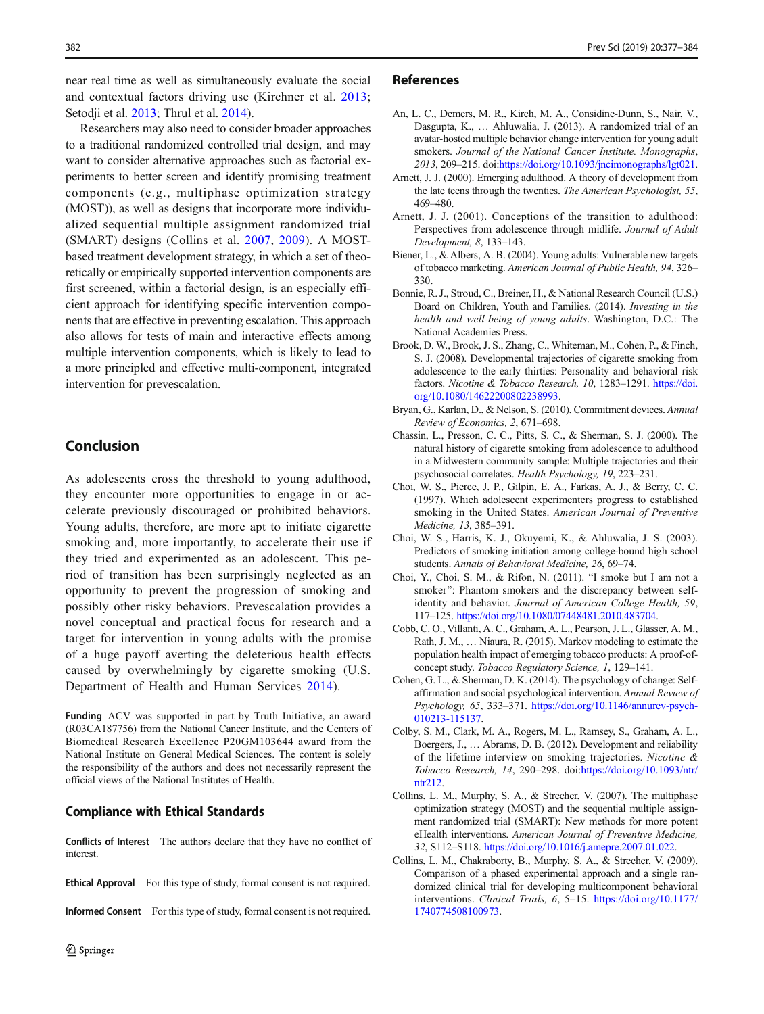<span id="page-5-0"></span>near real time as well as simultaneously evaluate the social and contextual factors driving use (Kirchner et al. [2013](#page-6-0); Setodji et al. [2013](#page-7-0); Thrul et al. [2014\)](#page-7-0).

Researchers may also need to consider broader approaches to a traditional randomized controlled trial design, and may want to consider alternative approaches such as factorial experiments to better screen and identify promising treatment components (e.g., multiphase optimization strategy (MOST)), as well as designs that incorporate more individualized sequential multiple assignment randomized trial (SMART) designs (Collins et al. 2007, 2009). A MOSTbased treatment development strategy, in which a set of theoretically or empirically supported intervention components are first screened, within a factorial design, is an especially efficient approach for identifying specific intervention components that are effective in preventing escalation. This approach also allows for tests of main and interactive effects among multiple intervention components, which is likely to lead to a more principled and effective multi-component, integrated intervention for prevescalation.

# Conclusion

As adolescents cross the threshold to young adulthood, they encounter more opportunities to engage in or accelerate previously discouraged or prohibited behaviors. Young adults, therefore, are more apt to initiate cigarette smoking and, more importantly, to accelerate their use if they tried and experimented as an adolescent. This period of transition has been surprisingly neglected as an opportunity to prevent the progression of smoking and possibly other risky behaviors. Prevescalation provides a novel conceptual and practical focus for research and a target for intervention in young adults with the promise of a huge payoff averting the deleterious health effects caused by overwhelmingly by cigarette smoking (U.S. Department of Health and Human Services [2014\)](#page-7-0).

Funding ACV was supported in part by Truth Initiative, an award (R03CA187756) from the National Cancer Institute, and the Centers of Biomedical Research Excellence P20GM103644 award from the National Institute on General Medical Sciences. The content is solely the responsibility of the authors and does not necessarily represent the official views of the National Institutes of Health.

#### Compliance with Ethical Standards

Conflicts of Interest The authors declare that they have no conflict of interest.

- Ethical Approval For this type of study, formal consent is not required.
- Informed Consent For this type of study, formal consent is not required.

#### References

- An, L. C., Demers, M. R., Kirch, M. A., Considine-Dunn, S., Nair, V., Dasgupta, K., … Ahluwalia, J. (2013). A randomized trial of an avatar-hosted multiple behavior change intervention for young adult smokers. Journal of the National Cancer Institute. Monographs, 2013, 209–215. doi[:https://doi.org/10.1093/jncimonographs/lgt021](https://doi.org/10.1093/jncimonographs/lgt021).
- Arnett, J. J. (2000). Emerging adulthood. A theory of development from the late teens through the twenties. The American Psychologist, 55, 469–480.
- Arnett, J. J. (2001). Conceptions of the transition to adulthood: Perspectives from adolescence through midlife. Journal of Adult Development, 8, 133–143.
- Biener, L., & Albers, A. B. (2004). Young adults: Vulnerable new targets of tobacco marketing. American Journal of Public Health, 94, 326– 330.
- Bonnie, R. J., Stroud, C., Breiner, H., & National Research Council (U.S.) Board on Children, Youth and Families. (2014). Investing in the health and well-being of young adults. Washington, D.C.: The National Academies Press.
- Brook, D. W., Brook, J. S., Zhang, C., Whiteman, M., Cohen, P., & Finch, S. J. (2008). Developmental trajectories of cigarette smoking from adolescence to the early thirties: Personality and behavioral risk factors. Nicotine & Tobacco Research, 10, 1283-1291. [https://doi.](https://doi.org/10.1080/14622200802238993) [org/10.1080/14622200802238993](https://doi.org/10.1080/14622200802238993).
- Bryan, G., Karlan, D., & Nelson, S. (2010). Commitment devices. Annual Review of Economics, 2, 671–698.
- Chassin, L., Presson, C. C., Pitts, S. C., & Sherman, S. J. (2000). The natural history of cigarette smoking from adolescence to adulthood in a Midwestern community sample: Multiple trajectories and their psychosocial correlates. Health Psychology, 19, 223–231.
- Choi, W. S., Pierce, J. P., Gilpin, E. A., Farkas, A. J., & Berry, C. C. (1997). Which adolescent experimenters progress to established smoking in the United States. American Journal of Preventive Medicine, 13, 385–391.
- Choi, W. S., Harris, K. J., Okuyemi, K., & Ahluwalia, J. S. (2003). Predictors of smoking initiation among college-bound high school students. Annals of Behavioral Medicine, 26, 69–74.
- Choi, Y., Choi, S. M., & Rifon, N. (2011). "I smoke but I am not a smoker": Phantom smokers and the discrepancy between selfidentity and behavior. Journal of American College Health, 59, 117–125. <https://doi.org/10.1080/07448481.2010.483704>.
- Cobb, C. O., Villanti, A. C., Graham, A. L., Pearson, J. L., Glasser, A. M., Rath, J. M., … Niaura, R. (2015). Markov modeling to estimate the population health impact of emerging tobacco products: A proof-ofconcept study. Tobacco Regulatory Science, 1, 129–141.
- Cohen, G. L., & Sherman, D. K. (2014). The psychology of change: Selfaffirmation and social psychological intervention. Annual Review of Psychology, 65, 333–371. [https://doi.org/10.1146/annurev-psych-](https://doi.org/10.1146/annurev-psych-010213-115137)[010213-115137](https://doi.org/10.1146/annurev-psych-010213-115137).
- Colby, S. M., Clark, M. A., Rogers, M. L., Ramsey, S., Graham, A. L., Boergers, J., … Abrams, D. B. (2012). Development and reliability of the lifetime interview on smoking trajectories. Nicotine & Tobacco Research, 14, 290–298. doi[:https://doi.org/10.1093/ntr/](https://doi.org/10.1093/ntr/ntr212) [ntr212](https://doi.org/10.1093/ntr/ntr212).
- Collins, L. M., Murphy, S. A., & Strecher, V. (2007). The multiphase optimization strategy (MOST) and the sequential multiple assignment randomized trial (SMART): New methods for more potent eHealth interventions. American Journal of Preventive Medicine, 32, S112–S118. [https://doi.org/10.1016/j.amepre.2007.01.022.](https://doi.org/10.1016/j.amepre.2007.01.022)
- Collins, L. M., Chakraborty, B., Murphy, S. A., & Strecher, V. (2009). Comparison of a phased experimental approach and a single randomized clinical trial for developing multicomponent behavioral interventions. Clinical Trials, 6, 5–15. [https://doi.org/10.1177/](https://doi.org/10.1177/1740774508100973) [1740774508100973](https://doi.org/10.1177/1740774508100973).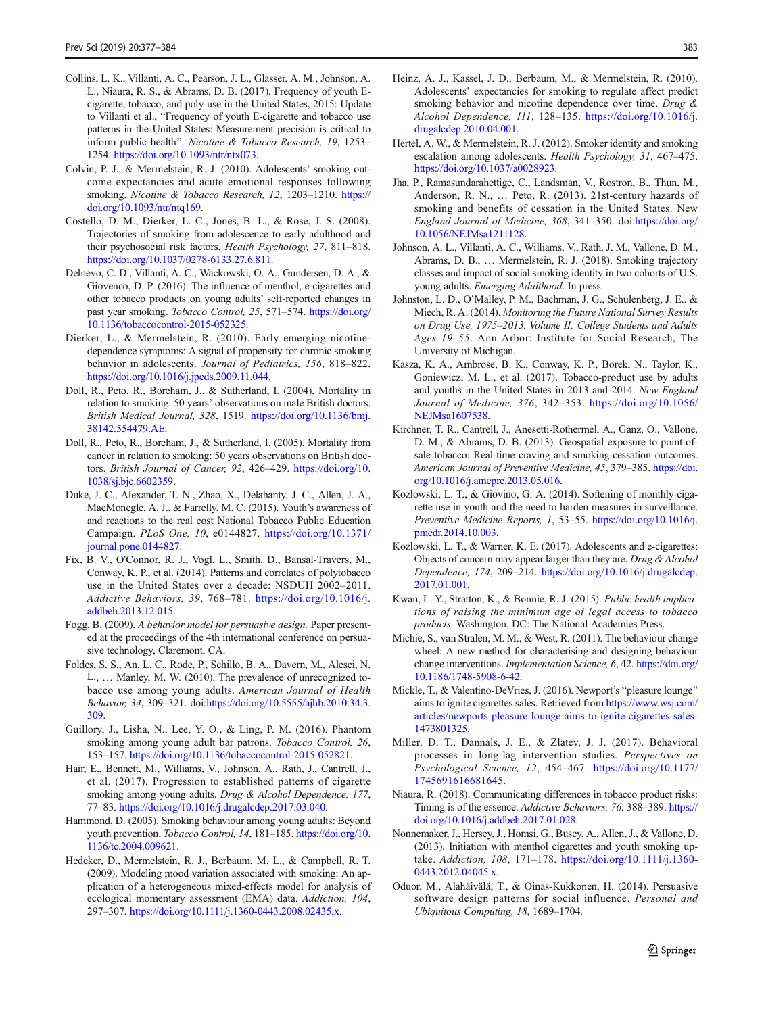- <span id="page-6-0"></span>Collins, L. K., Villanti, A. C., Pearson, J. L., Glasser, A. M., Johnson, A. L., Niaura, R. S., & Abrams, D. B. (2017). Frequency of youth Ecigarette, tobacco, and poly-use in the United States, 2015: Update to Villanti et al., "Frequency of youth E-cigarette and tobacco use patterns in the United States: Measurement precision is critical to inform public health". Nicotine & Tobacco Research, 19, 1253– 1254. [https://doi.org/10.1093/ntr/ntx073.](https://doi.org/10.1093/ntr/ntx073)
- Colvin, P. J., & Mermelstein, R. J. (2010). Adolescents' smoking outcome expectancies and acute emotional responses following smoking. Nicotine & Tobacco Research, 12, 1203-1210. [https://](https://doi.org/10.1093/ntr/ntq169) [doi.org/10.1093/ntr/ntq169.](https://doi.org/10.1093/ntr/ntq169)
- Costello, D. M., Dierker, L. C., Jones, B. L., & Rose, J. S. (2008). Trajectories of smoking from adolescence to early adulthood and their psychosocial risk factors. Health Psychology, 27, 811–818. <https://doi.org/10.1037/0278-6133.27.6.811>.
- Delnevo, C. D., Villanti, A. C., Wackowski, O. A., Gundersen, D. A., & Giovenco, D. P. (2016). The influence of menthol, e-cigarettes and other tobacco products on young adults' self-reported changes in past year smoking. Tobacco Control, 25, 571–574. [https://doi.org/](https://doi.org/10.1136/tobaccocontrol-2015-052325) [10.1136/tobaccocontrol-2015-052325.](https://doi.org/10.1136/tobaccocontrol-2015-052325)
- Dierker, L., & Mermelstein, R. (2010). Early emerging nicotinedependence symptoms: A signal of propensity for chronic smoking behavior in adolescents. Journal of Pediatrics, 156, 818–822. <https://doi.org/10.1016/j.jpeds.2009.11.044>.
- Doll, R., Peto, R., Boreham, J., & Sutherland, I. (2004). Mortality in relation to smoking: 50 years' observations on male British doctors. British Medical Journal, 328, 1519. [https://doi.org/10.1136/bmj.](https://doi.org/10.1136/bmj.38142.554479.AE) [38142.554479.AE](https://doi.org/10.1136/bmj.38142.554479.AE).
- Doll, R., Peto, R., Boreham, J., & Sutherland, I. (2005). Mortality from cancer in relation to smoking: 50 years observations on British doctors. British Journal of Cancer, 92, 426-429. [https://doi.org/10.](https://doi.org/10.1038/sj.bjc.6602359) [1038/sj.bjc.6602359.](https://doi.org/10.1038/sj.bjc.6602359)
- Duke, J. C., Alexander, T. N., Zhao, X., Delahanty, J. C., Allen, J. A., MacMonegle, A. J., & Farrelly, M. C. (2015). Youth's awareness of and reactions to the real cost National Tobacco Public Education Campaign. PLoS One, 10, e0144827. [https://doi.org/10.1371/](https://doi.org/10.1371/journal.pone.0144827) [journal.pone.0144827.](https://doi.org/10.1371/journal.pone.0144827)
- Fix, B. V., O'Connor, R. J., Vogl, L., Smith, D., Bansal-Travers, M., Conway, K. P., et al. (2014). Patterns and correlates of polytobacco use in the United States over a decade: NSDUH 2002–2011. Addictive Behaviors, 39, 768–781. [https://doi.org/10.1016/j.](https://doi.org/10.1016/j.addbeh.2013.12.015) [addbeh.2013.12.015.](https://doi.org/10.1016/j.addbeh.2013.12.015)
- Fogg, B. (2009). A behavior model for persuasive design. Paper presented at the proceedings of the 4th international conference on persuasive technology, Claremont, CA.
- Foldes, S. S., An, L. C., Rode, P., Schillo, B. A., Davern, M., Alesci, N. L., … Manley, M. W. (2010). The prevalence of unrecognized tobacco use among young adults. American Journal of Health Behavior, 34, 309–321. doi[:https://doi.org/10.5555/ajhb.2010.34.3.](https://doi.org/10.5555/ajhb.2010.34.3.309) [309](https://doi.org/10.5555/ajhb.2010.34.3.309).
- Guillory, J., Lisha, N., Lee, Y. O., & Ling, P. M. (2016). Phantom smoking among young adult bar patrons. Tobacco Control, 26, 153–157. [https://doi.org/10.1136/tobaccocontrol-2015-052821.](https://doi.org/10.1136/tobaccocontrol-2015-052821)
- Hair, E., Bennett, M., Williams, V., Johnson, A., Rath, J., Cantrell, J., et al. (2017). Progression to established patterns of cigarette smoking among young adults. Drug & Alcohol Dependence, 177, 77–83. [https://doi.org/10.1016/j.drugalcdep.2017.03.040.](https://doi.org/10.1016/j.drugalcdep.2017.03.040)
- Hammond, D. (2005). Smoking behaviour among young adults: Beyond youth prevention. Tobacco Control, 14, 181–185. [https://doi.org/10.](https://doi.org/10.1136/tc.2004.009621) [1136/tc.2004.009621.](https://doi.org/10.1136/tc.2004.009621)
- Hedeker, D., Mermelstein, R. J., Berbaum, M. L., & Campbell, R. T. (2009). Modeling mood variation associated with smoking: An application of a heterogeneous mixed-effects model for analysis of ecological momentary assessment (EMA) data. Addiction, 104, 297–307. [https://doi.org/10.1111/j.1360-0443.2008.02435.x.](https://doi.org/10.1111/j.1360-0443.2008.02435.x)
- Heinz, A. J., Kassel, J. D., Berbaum, M., & Mermelstein, R. (2010). Adolescents' expectancies for smoking to regulate affect predict smoking behavior and nicotine dependence over time. Drug & Alcohol Dependence, 111, 128–135. [https://doi.org/10.1016/j.](https://doi.org/10.1016/j.drugalcdep.2010.04.001) [drugalcdep.2010.04.001.](https://doi.org/10.1016/j.drugalcdep.2010.04.001)
- Hertel, A. W., & Mermelstein, R. J. (2012). Smoker identity and smoking escalation among adolescents. Health Psychology, 31, 467–475. [https://doi.org/10.1037/a0028923.](https://doi.org/10.1037/a0028923)
- Jha, P., Ramasundarahettige, C., Landsman, V., Rostron, B., Thun, M., Anderson, R. N., … Peto, R. (2013). 21st-century hazards of smoking and benefits of cessation in the United States. New England Journal of Medicine, 368, 341–350. doi[:https://doi.org/](https://doi.org/10.1056/NEJMsa1211128) [10.1056/NEJMsa1211128.](https://doi.org/10.1056/NEJMsa1211128)
- Johnson, A. L., Villanti, A. C., Williams, V., Rath, J. M., Vallone, D. M., Abrams, D. B., … Mermelstein, R. J. (2018). Smoking trajectory classes and impact of social smoking identity in two cohorts of U.S. young adults. Emerging Adulthood. In press.
- Johnston, L. D., O'Malley, P. M., Bachman, J. G., Schulenberg, J. E., & Miech, R. A. (2014). Monitoring the Future National Survey Results on Drug Use, 1975–2013. Volume II: College Students and Adults Ages 19–55. Ann Arbor: Institute for Social Research, The University of Michigan.
- Kasza, K. A., Ambrose, B. K., Conway, K. P., Borek, N., Taylor, K., Goniewicz, M. L., et al. (2017). Tobacco-product use by adults and youths in the United States in 2013 and 2014. New England Journal of Medicine, 376, 342–353. [https://doi.org/10.1056/](https://doi.org/10.1056/NEJMsa1607538) [NEJMsa1607538](https://doi.org/10.1056/NEJMsa1607538).
- Kirchner, T. R., Cantrell, J., Anesetti-Rothermel, A., Ganz, O., Vallone, D. M., & Abrams, D. B. (2013). Geospatial exposure to point-ofsale tobacco: Real-time craving and smoking-cessation outcomes. American Journal of Preventive Medicine, 45, 379–385. [https://doi.](https://doi.org/10.1016/j.amepre.2013.05.016) [org/10.1016/j.amepre.2013.05.016.](https://doi.org/10.1016/j.amepre.2013.05.016)
- Kozlowski, L. T., & Giovino, G. A. (2014). Softening of monthly cigarette use in youth and the need to harden measures in surveillance. Preventive Medicine Reports, 1, 53–55. [https://doi.org/10.1016/j.](https://doi.org/10.1016/j.pmedr.2014.10.003) [pmedr.2014.10.003.](https://doi.org/10.1016/j.pmedr.2014.10.003)
- Kozlowski, L. T., & Warner, K. E. (2017). Adolescents and e-cigarettes: Objects of concern may appear larger than they are. Drug & Alcohol Dependence, 174, 209–214. [https://doi.org/10.1016/j.drugalcdep.](https://doi.org/10.1016/j.drugalcdep.2017.01.001) [2017.01.001](https://doi.org/10.1016/j.drugalcdep.2017.01.001).
- Kwan, L. Y., Stratton, K., & Bonnie, R. J. (2015). Public health implications of raising the minimum age of legal access to tobacco products. Washington, DC: The National Academies Press.
- Michie, S., van Stralen, M. M., & West, R. (2011). The behaviour change wheel: A new method for characterising and designing behaviour change interventions. Implementation Science, 6, 42. [https://doi.org/](https://doi.org/10.1186/1748-5908-6-42) [10.1186/1748-5908-6-42](https://doi.org/10.1186/1748-5908-6-42).
- Mickle, T., & Valentino-DeVries, J. (2016). Newport's "pleasure lounge" aims to ignite cigarettes sales. Retrieved from [https://www.wsj.com/](https://www.wsj.com/articles/newports-pleasure-lounge-aims-to-ignite-cigarettes-sales-1473801325) [articles/newports-pleasure-lounge-aims-to-ignite-cigarettes-sales-](https://www.wsj.com/articles/newports-pleasure-lounge-aims-to-ignite-cigarettes-sales-1473801325)[1473801325](https://www.wsj.com/articles/newports-pleasure-lounge-aims-to-ignite-cigarettes-sales-1473801325).
- Miller, D. T., Dannals, J. E., & Zlatev, J. J. (2017). Behavioral processes in long-lag intervention studies. Perspectives on Psychological Science, 12, 454–467. [https://doi.org/10.1177/](https://doi.org/10.1177/1745691616681645) [1745691616681645](https://doi.org/10.1177/1745691616681645).
- Niaura, R. (2018). Communicating differences in tobacco product risks: Timing is of the essence. Addictive Behaviors, 76, 388–389. [https://](https://doi.org/10.1016/j.addbeh.2017.01.028) [doi.org/10.1016/j.addbeh.2017.01.028.](https://doi.org/10.1016/j.addbeh.2017.01.028)
- Nonnemaker, J., Hersey, J., Homsi, G., Busey, A., Allen, J., & Vallone, D. (2013). Initiation with menthol cigarettes and youth smoking uptake. Addiction, 108, 171–178. [https://doi.org/10.1111/j.1360-](https://doi.org/10.1111/j.1360-0443.2012.04045.x) [0443.2012.04045.x](https://doi.org/10.1111/j.1360-0443.2012.04045.x).
- Oduor, M., Alahäivälä, T., & Oinas-Kukkonen, H. (2014). Persuasive software design patterns for social influence. Personal and Ubiquitous Computing, 18, 1689–1704.